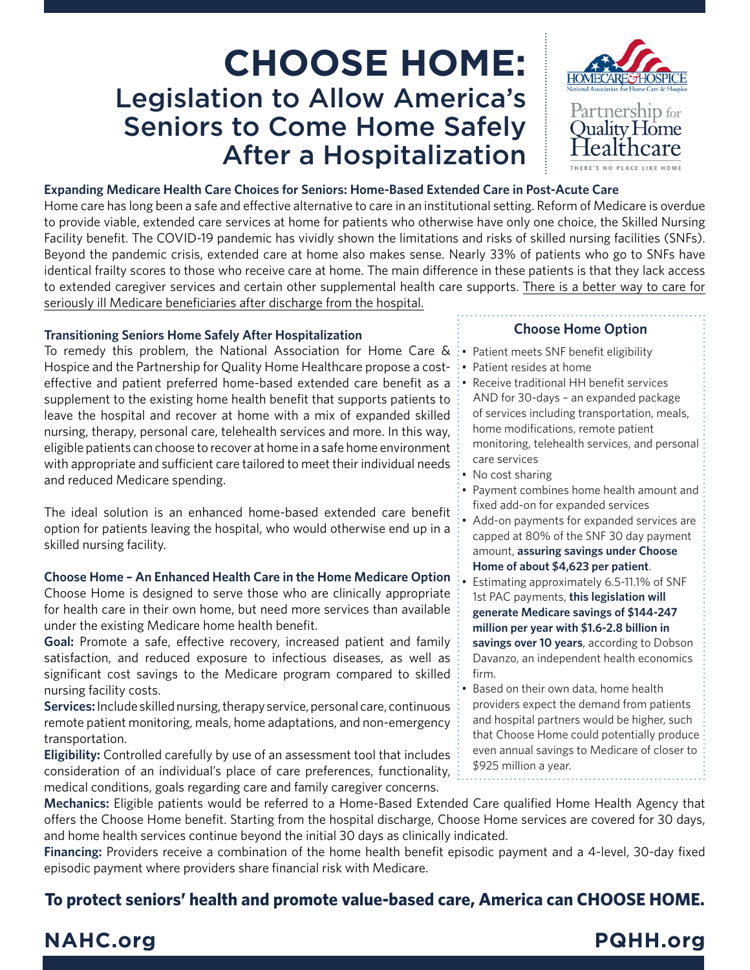# **CHOOSE HOME:** Legislation to Allow America's Seniors to Come Home Safely After a Hospitalization



### **Expanding Medicare Health Care Choices for Seniors: Home-Based Extended Care in Post-Acute Care**

Home care has long been a safe and effective alternative to care in an institutional setting. Reform of Medicare is overdue to provide viable, extended care services at home for patients who otherwise have only one choice, the Skilled Nursing Facility benefit. The COVID-19 pandemic has vividly shown the limitations and risks of skilled nursing facilities (SNFs). Beyond the pandemic crisis, extended care at home also makes sense. Nearly 33% of patients who go to SNFs have identical frailty scores to those who receive care at home. The main difference in these patients is that they lack access to extended caregiver services and certain other supplemental health care supports. There is a better way to care for seriously ill Medicare beneficiaries after discharge from the hospital.

#### **Transitioning Seniors Home Safely After Hospitalization**

To remedy this problem, the National Association for Home Care  $\&$  : Patient meets SNF benefit eligibility Hospice and the Partnership for Quality Home Healthcare propose a costeffective and patient preferred home-based extended care benefit as a supplement to the existing home health benefit that supports patients to leave the hospital and recover at home with a mix of expanded skilled nursing, therapy, personal care, telehealth services and more. In this way, eligible patients can choose to recover at home in a safe home environment with appropriate and sufficient care tailored to meet their individual needs and reduced Medicare spending.

The ideal solution is an enhanced home-based extended care benefit option for patients leaving the hospital, who would otherwise end up in a skilled nursing facility.

### **Choose Home – An Enhanced Health Care in the Home Medicare Option**

Choose Home is designed to serve those who are clinically appropriate for health care in their own home, but need more services than available under the existing Medicare home health benefit.

**Goal:** Promote a safe, effective recovery, increased patient and family satisfaction, and reduced exposure to infectious diseases, as well as significant cost savings to the Medicare program compared to skilled nursing facility costs.

**Services:** Include skilled nursing, therapy service, personal care, continuous remote patient monitoring, meals, home adaptations, and non-emergency transportation.

**Eligibility:** Controlled carefully by use of an assessment tool that includes consideration of an individual's place of care preferences, functionality, medical conditions, goals regarding care and family caregiver concerns.

## **Choose Home Option**

• Patient resides at home • Receive traditional HH benefit services

AND for 30-days – an expanded package of services including transportation, meals, home modifications, remote patient monitoring, telehealth services, and personal care services

- No cost sharing
- Payment combines home health amount and fixed add-on for expanded services Add-on payments for expanded services are
- capped at 80% of the SNF 30 day payment amount, **assuring savings under Choose**

**Home of about \$4,623 per patient**.

- Estimating approximately 6.5-11.1% of SNF 1st PAC payments, **this legislation will generate Medicare savings of \$144-247 million per year with \$1.6-2.8 billion in savings over 10 years**, according to Dobson Davanzo, an independent health economics firm.
- Based on their own data, home health providers expect the demand from patients and hospital partners would be higher, such that Choose Home could potentially produce even annual savings to Medicare of closer to \$925 million a year.

**Mechanics:** Eligible patients would be referred to a Home-Based Extended Care qualified Home Health Agency that offers the Choose Home benefit. Starting from the hospital discharge, Choose Home services are covered for 30 days, and home health services continue beyond the initial 30 days as clinically indicated.

**Financing:** Providers receive a combination of the home health benefit episodic payment and a 4-level, 30-day fixed episodic payment where providers share financial risk with Medicare.

## **To protect seniors' health and promote value-based care, America can CHOOSE HOME.**

## **NAHC.org PQHH.org**